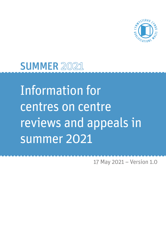

# SUMMER 2021

Information for centres on centre reviews and appeals in summer 2021

17 May 2021 – Version 1.0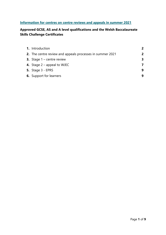## **Information for centres on centre reviews and appeals in summer 2021**

## **Approved GCSE, AS and A level qualifications and the Welsh Baccalaureate Skills Challenge Certificates**

| 1. Introduction                     |                                                           | $\overline{2}$ |
|-------------------------------------|-----------------------------------------------------------|----------------|
|                                     | 2. The centre review and appeals processes in summer 2021 | 2              |
| <b>3.</b> Stage $1$ – centre review |                                                           | 3              |
| 4. Stage $2$ – appeal to WJEC       |                                                           | 7              |
| <b>5.</b> Stage 3 - EPRS            |                                                           | 9              |
| <b>6.</b> Support for learners      |                                                           | 9              |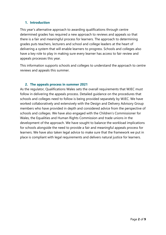#### **1. Introduction**

This year's alternative approach to awarding qualifications through centre determined grades has required a new approach to reviews and appeals so that there is a fair and meaningful process for learners. The approach to determining grades puts teachers, lecturers and school and college leaders at the heart of delivering a system that will enable learners to progress. Schools and colleges also have a key role to play in making sure every learner has access to fair review and appeals processes this year.

This information supports schools and colleges to understand the approach to centre reviews and appeals this summer.

#### **2. The appeals process in summer 2021**

As the regulator, Qualifications Wales sets the overall requirements that WJEC must follow in delivering the appeals process. Detailed guidance on the procedures that schools and colleges need to follow is being provided separately by WJEC. We have worked collaboratively and extensively with the Design and Delivery Advisory Group members who have provided in depth and considered advice from the perspective of schools and colleges. We have also engaged with the Children's Commissioner for Wales, the Equalities and Human Rights Commission and trade unions in the development of the approach. We have sought to balance the workload implications for schools alongside the need to provide a fair and meaningful appeals process for learners. We have also taken legal advice to make sure that the framework we put in place is compliant with legal requirements and delivers natural justice for learners.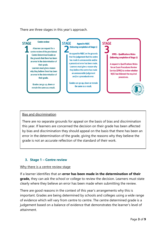There are three stages in this year's approach.

#### **Centre review STAGF STAGE** A learner can request for a centre review of the provisional **Centre Determined Grade on** the grounds that there has been an error in the determination of their grade. Learners must give a reason why they believe there has been an error in the determination of their grade. Grades can go up, down or remain the same as a result.

(following completion of Stage 1) An appeal to WJEC on the grounds that the judgement that the centre has made is unreasonable and/or a procedural error has been made. Learners must give a reason why

**Appeal to WJEC** 

they believe the centre has made an unreasonable judgement and/or a procedural error.

Grades can go up, down or remain the same as a result.

**EPRS - Qualifications Wales** (following completion of Stage 2) **A request to Qualifications Wales** 

**STAGE** 

for an Exam Procedures Review Service (EPRS) to review whether **WJEC has followed the required** procedures.

### Bias and discrimination

There are no separate grounds for appeal on the basis of bias and discrimination this year. If learners are concerned the decision on their grade has been affected by bias and discrimination they should appeal on the basis that there has been an error in the determination of the grade, giving the reasons why they believe the grade is not an accurate reflection of the standard of their work.

#### **3. Stage 1 – Centre review**

#### Why there is a centre review stage

If a learner identifies that an **error has been made in the determination of their grade,** they can ask the school or college to review the decision. Learners must state clearly where they believe an error has been made when submitting the review.

There are good reasons in the context of this year's arrangements why this is important. Grades are being determined by schools and colleges using a wide range of evidence which will vary from centre to centre. The centre determined grade is a judgement based on a balance of evidence that demonstrates the learner's level of attainment.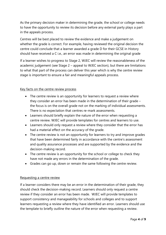As the primary decision maker in determining the grade, the school or college needs to have the opportunity to review its decision before any external party plays a part in the appeals process.

Centres will be best placed to review the evidence and make a judgement on whether the grade is correct. For example, having reviewed the original decision the centre could conclude that a learner awarded a grade D for their GCSE in History should have received a C i.e., an error was made in determining the original grade

If a learner wishes to progress to Stage 2, WJEC will review the reasonableness of the academic judgement (see Stage 2 – appeal to WJEC section), but there are limitations to what that part of the process can deliver this year which is why the centre review stage is important to ensure a fair and meaningful appeals process.

#### Key facts on the centre review process

- The centre review is an opportunity for learners to request a review where they consider an error has been made in the determination of their grade – the focus is on the overall grade not on the marking of individual assessments. There is no expectation that centres re-mark assessments.
- Learners should briefly explain the nature of the error when requesting a centre review. WJEC will provide templates for centres and learners to use.
- Learners should only request a review where they consider that the error has had a material effect on the accuracy of the grade.
- The centre review is not an opportunity for learners to try and improve grades that have been determined fairly in accordance with the centre's assessment and quality assurance processes and are supported by the evidence and the decision-making record.
- The centre review is an opportunity for the school or college to check they have not made any errors in the determination of the grade.
- Grades can go up, down or remain the same following the centre review.

#### Requesting a centre review

If a learner considers there may be an error in the determination of their grade, they should check the decision-making record. Learners should only request a centre review if they consider an error has been made. WJEC will provide templates to support consistency and manageability for schools and colleges and to support learners requesting a review where they have identified an error. Learners should use the template to briefly outline the nature of the error when requesting a review.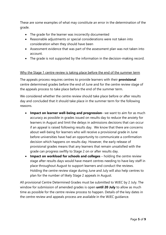These are some examples of what may constitute an error in the determination of the grade.

- The grade for the learner was incorrectly documented
- Reasonable adjustments or special considerations were not taken into consideration when they should have been
- Assessment evidence that was part of the assessment plan was not taken into account.
- The grade is not supported by the information in the decision-making record.

#### Why the Stage 1 centre review is taking place before the end of the summer term

The appeals process requires centres to provide learners with their **provisional** centre determined grades before the end of June and for the centre review stage of the appeals process to take place before the end of the summer term.

We considered whether the centre review should take place before or after results day and concluded that it should take place in the summer term for the following reasons.

- **Impact on learner well-being and progression** we want to aim for as much accuracy as possible in grades issued on results day to reduce the anxiety for learners in August and limit the delays in admissions decisions that can occur if an appeal is raised following results day. We know that there are concerns about well-being for learners who will receive a provisional grade in June before universities have had an opportunity to communicate a confirmation decision which happens on results day. However, the early release of provisional grades means that any learners that remain unsatisfied with the grade can progress swiftly to Stage 2 on or after results day.
- **Impact on workload for schools and colleges** holding the centre review stage after results days would have meant centres needing to have key staff in place throughout August to support learners and conduct the reviews. Holding the centre review stage during June and July will also help centres to plan for the number of likely Stage 2 appeals in August.

All provisional Centre Determined Grades must be submitted to WJEC by 2 July. The window for submission of amended grades is open **until 20 July** to allow as much time as possible for the centre review process to happen. Details of the key dates in the centre review and appeals process are available in the WJEC guidance.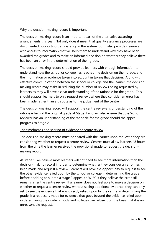#### Why the decision-making record is important

The decision-making record is an important part of the alternative awarding arrangements this year. Not only does it mean that quality assurance processes are documented, supporting transparency in the system, but it also provides learners with access to information that will help them to understand why they have been awarded the grades and to make an informed decision on whether they believe there has been an error in the determination of their grade.

The decision-making record should provide learners with enough information to understand how the school or college has reached the decision on their grade, and the information or evidence taken into account in taking that decision. Along with effective communication between the school or college and the learner, the decisionmaking record may assist in reducing the number of reviews being requested by learners as they will have a clear understanding of the rationale for the grade. This should support learners to only request reviews where they consider an error has been made rather than a dispute as to the judgement of the centre.

The decision-making record will support the centre reviewer's understanding of the rationale behind the original grade at Stage 1 and will also ensure that the WJEC reviewer has an understanding of the rationale for the grade should the appeal progress to Stage 2.

#### The timeframes and sharing of evidence at centre review

The decision-making record must be shared with the learner upon request if they are considering whether to request a centre review. Centres must allow learners 48 hours from the time the learner received the provisional grade to request the decisionmaking record.

At stage 1, we believe most learners will not need to see more information than the decision-making record in order to determine whether they consider an error has been made and request a review. Learners will have the opportunity to request to see the other evidence relied upon by the school or college in determining the grade before deciding to submit a stage 2 appeal to WJEC if they believe the error still remains after the centre review. If a learner does not feel able to make a decision on whether to request a centre review without seeing additional evidence, they can only ask to see the evidence that was directly relied upon by the centre in determining the grade. If a request is made for evidence that goes beyond the evidence relied upon in determining the grade, schools and colleges can refuse it on the basis that it is an unreasonable request.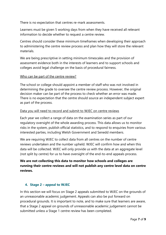There is no expectation that centres re-mark assessments.

Learners must be given 5 working days from when they have received all relevant information to decide whether to request a centre review.

Centres should consider these minimum timeframes when developing their approach to administering the centre review process and plan how they will store the relevant materials.

We are being prescriptive in setting minimum timescales and the provision of assessment evidence both in the interests of learners and to support schools and colleges avoid legal challenge on the basis of procedural fairness.

#### Who can be part of the centre review?

The school or college should appoint a member of staff who was not involved in determining the grade to oversee the centre review process. However, the original decision maker can be part of the process to check whether an error was made. There is no expectation that the centre should source an independent subject expert as part of the process.

#### Data you will need to record and submit to WJEC on centre reviews

Each year we collect a range of data on the examination series as part of our regulatory oversight of the whole awarding process. This data allows us to monitor risks in the system, publish official statistics, and to respond to enquiries from various interested parties, including Welsh Government and Senedd members.

We are requiring WJEC to collect data from all centres on the number of centre reviews undertaken and the number upheld. WJEC will confirm how and when this data will be collected. WJEC will only provide us with the data at an aggregate level (not split by centre) for us to have oversight of the end-to-end appeals process.

## **We are not collecting this data to monitor how schools and colleges are running their centre reviews and will not publish any centre level data on centre reviews.**

#### **4. Stage 2 – appeal to WJEC**

In this section we will focus on Stage 2 appeals submitted to WJEC on the grounds of an unreasonable academic judgement. Appeals can also be put forward on procedural grounds. It is important to note, and to make sure that learners are aware, that a Stage 2 appeal on grounds of unreasonable academic judgement cannot be submitted unless a Stage 1 centre review has been completed.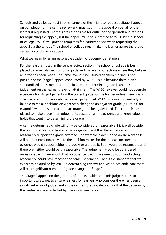Schools and colleges must inform learners of their right to request a Stage 2 appeal on completion of the centre review and must submit the appeal on behalf of the learner if requested. Learners are responsible for outlining the grounds and reasons for requesting the appeal, but the appeal must be submitted to WJEC by the school or college. WJEC will provide templates for learners to use when requesting the appeal via the school. The school or college must make the learner aware the grade can go up or down on appeal.

#### What we mean by an unreasonable academic judgement at Stage 2

For the reasons noted in the centre review section, the school or college is best placed to review its decision on a grade and make any corrections where they believe an error has been made. The same level of finely tuned decision making is not possible at the Stage 2 appeal conducted by WJEC. This is because there aren't standardised assessments and the final centre determined grade is an holistic judgement on the learner's level of attainment. The WJEC reviewer could not overrule a centre's holistic judgement on the correct grade for the learner unless there was a clear exercise of unreasonable academic judgement. WJEC reviewers are unlikely to be able to make decisions on whether a change to an adjacent grade (a D to a C for example) would result in a more accurate grade being awarded. The centre is best placed to make those finer judgements based on all the evidence and knowledge it holds that went into determining the grade.

A centre determined grade will only be considered unreasonable if it is well outside the bounds of reasonable academic judgement and that the evidence cannot reasonably support the grade awarded. For example, a decision to award a grade B will not be unreasonable where the decision maker for the appeal considers the evidence would support either a grade A or a grade B. Both would be reasonable and therefore neither would be unreasonable. The judgement would be considered unreasonable if it were such that no other centre in the same position, and acting reasonably, could have reached the same judgement. That is the standard that we expect to be applied by WJEC in determining reviews and we do not anticipate there will be a significant number of grade changes at Stage 2.

The Stage 2 appeal on the grounds of unreasonable academic judgement is an important safety net to ensure fairness for learners who consider there has been a significant error of judgement in the centre's grading decision or that the decision by the centre has been affected by bias or discrimination.